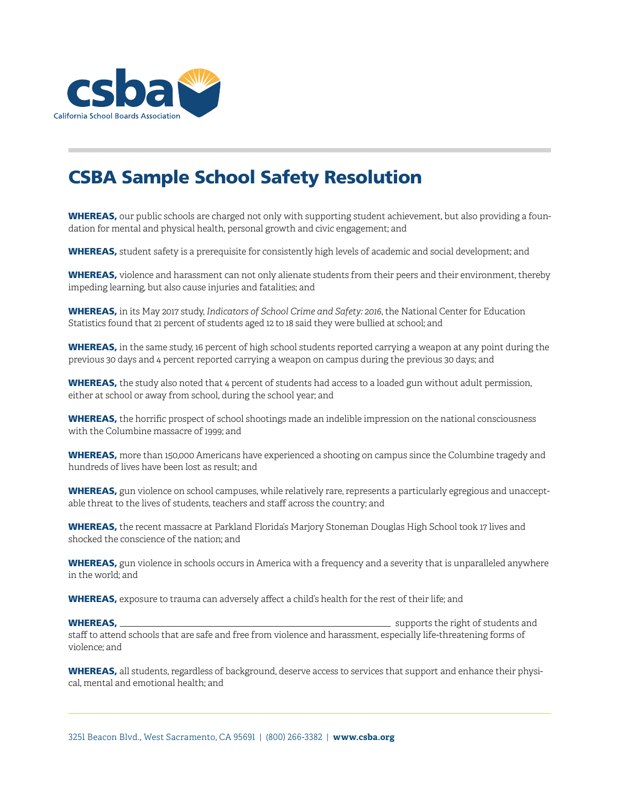

# CSBA Sample School Safety Resolution

WHEREAS, our public schools are charged not only with supporting student achievement, but also providing a foundation for mental and physical health, personal growth and civic engagement; and

WHEREAS, student safety is a prerequisite for consistently high levels of academic and social development; and

WHEREAS, violence and harassment can not only alienate students from their peers and their environment, thereby impeding learning, but also cause injuries and fatalities; and

WHEREAS, in its May 2017 study, *Indicators of School Crime and Safety: 2016*, the National Center for Education Statistics found that 21 percent of students aged 12 to 18 said they were bullied at school; and

WHEREAS, in the same study, 16 percent of high school students reported carrying a weapon at any point during the previous 30 days and 4 percent reported carrying a weapon on campus during the previous 30 days; and

WHEREAS, the study also noted that 4 percent of students had access to a loaded gun without adult permission, either at school or away from school, during the school year; and

WHEREAS, the horrific prospect of school shootings made an indelible impression on the national consciousness with the Columbine massacre of 1999; and

WHEREAS, more than 150,000 Americans have experienced a shooting on campus since the Columbine tragedy and hundreds of lives have been lost as result; and

WHEREAS, gun violence on school campuses, while relatively rare, represents a particularly egregious and unacceptable threat to the lives of students, teachers and staff across the country; and

WHEREAS, the recent massacre at Parkland Florida's Marjory Stoneman Douglas High School took 17 lives and shocked the conscience of the nation; and

WHEREAS, gun violence in schools occurs in America with a frequency and a severity that is unparalleled anywhere in the world; and

WHEREAS, exposure to trauma can adversely affect a child's health for the rest of their life; and

WHEREAS, supports the right of students and staff to attend schools that are safe and free from violence and harassment, especially life-threatening forms of violence; and

WHEREAS, all students, regardless of background, deserve access to services that support and enhance their physical, mental and emotional health; and